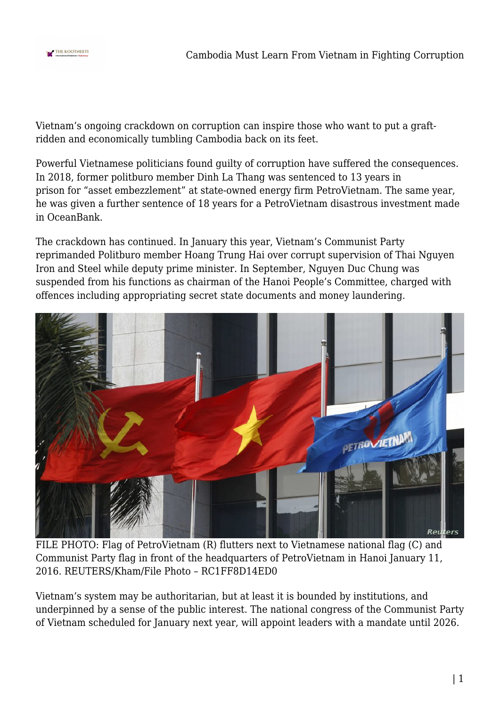

Vietnam's ongoing crackdown on corruption can inspire those who want to put a graftridden and economically tumbling Cambodia back on its feet.

Powerful Vietnamese politicians found guilty of corruption have suffered the consequences. In 2018, former politburo member Dinh La Thang was sentenced to 13 years in prison for "asset embezzlement" at state-owned energy firm PetroVietnam. The same year, he was given a further sentence of 18 years for a PetroVietnam disastrous investment made in OceanBank.

The crackdown has continued. In January this year, Vietnam's Communist Party reprimanded Politburo member Hoang Trung Hai over corrupt supervision of Thai Nguyen Iron and Steel while deputy prime minister. In September, Nguyen Duc Chung was suspended from his functions as chairman of the Hanoi People's Committee, charged with offences including appropriating secret state documents and money laundering.



FILE PHOTO: Flag of PetroVietnam (R) flutters next to Vietnamese national flag (C) and Communist Party flag in front of the headquarters of PetroVietnam in Hanoi January 11, 2016. REUTERS/Kham/File Photo – RC1FF8D14ED0

Vietnam's system may be authoritarian, but at least it is bounded by institutions, and underpinned by a sense of the public interest. The national congress of the Communist Party of Vietnam scheduled for January next year, will appoint leaders with a mandate until 2026.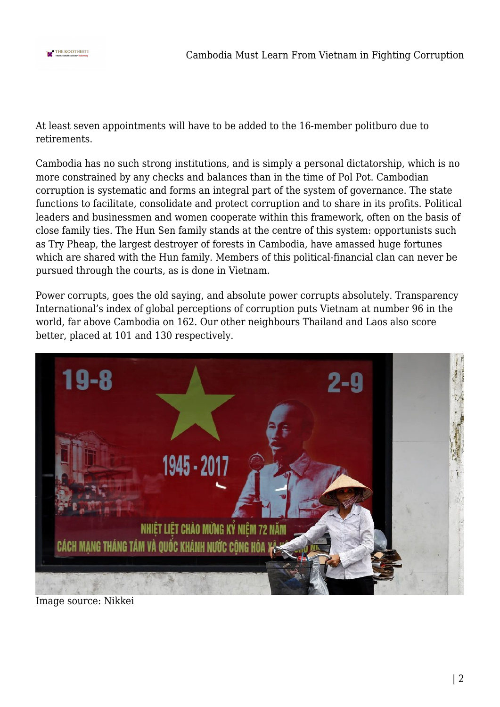

At least seven appointments will have to be added to the 16-member politburo due to retirements.

Cambodia has no such strong institutions, and is simply a personal dictatorship, which is no more constrained by any checks and balances than in the time of Pol Pot. Cambodian corruption is systematic and forms an integral part of the system of governance. The state functions to facilitate, consolidate and protect corruption and to share in its profits. Political leaders and businessmen and women cooperate within this framework, often on the basis of close family ties. The Hun Sen family stands at the centre of this system: opportunists such as Try Pheap, the largest destroyer of forests in Cambodia, have amassed huge fortunes which are shared with the Hun family. Members of this political-financial clan can never be pursued through the courts, as is done in Vietnam.

Power corrupts, goes the old saying, and absolute power corrupts absolutely. Transparency International's index of global perceptions of corruption puts Vietnam at number 96 in the world, far above Cambodia on 162. Our other neighbours Thailand and Laos also score better, placed at 101 and 130 respectively.



Image source: Nikkei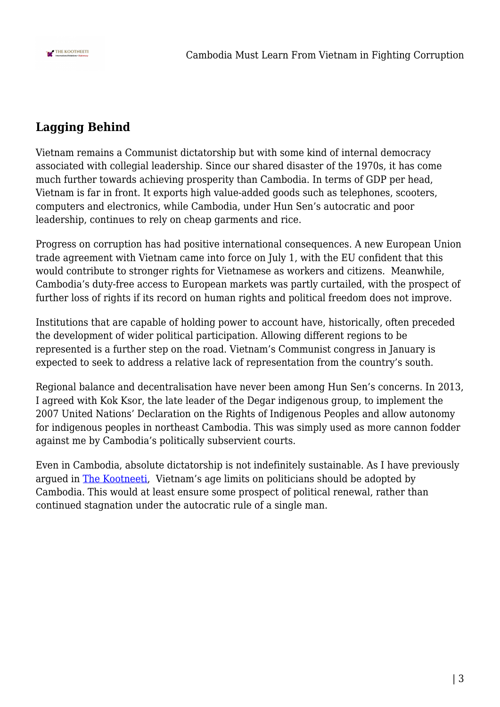

## **Lagging Behind**

Vietnam remains a Communist dictatorship but with some kind of internal democracy associated with collegial leadership. Since our shared disaster of the 1970s, it has come much further towards achieving prosperity than Cambodia. In terms of GDP per head, Vietnam is far in front. It exports high value-added goods such as telephones, scooters, computers and electronics, while Cambodia, under Hun Sen's autocratic and poor leadership, continues to rely on cheap garments and rice.

Progress on corruption has had positive international consequences. A new European Union trade agreement with Vietnam came into force on July 1, with the EU confident that this would contribute to stronger rights for Vietnamese as workers and citizens. Meanwhile, Cambodia's duty-free access to European markets was partly curtailed, with the prospect of further loss of rights if its record on human rights and political freedom does not improve.

Institutions that are capable of holding power to account have, historically, often preceded the development of wider political participation. Allowing different regions to be represented is a further step on the road. Vietnam's Communist congress in January is expected to seek to address a relative lack of representation from the country's south.

Regional balance and decentralisation have never been among Hun Sen's concerns. In 2013, I agreed with Kok Ksor, the late leader of the Degar indigenous group, to implement the 2007 United Nations' Declaration on the Rights of Indigenous Peoples and allow autonomy for indigenous peoples in northeast Cambodia. This was simply used as more cannon fodder against me by Cambodia's politically subservient courts.

Even in Cambodia, absolute dictatorship is not indefinitely sustainable. As I have previously argued in [The Kootneeti](https://thekootneeti.in/2020/05/26/cambodia-needs-to-follow-vietnams-example-on-leadership-renewal/), Vietnam's age limits on politicians should be adopted by Cambodia. This would at least ensure some prospect of political renewal, rather than continued stagnation under the autocratic rule of a single man.